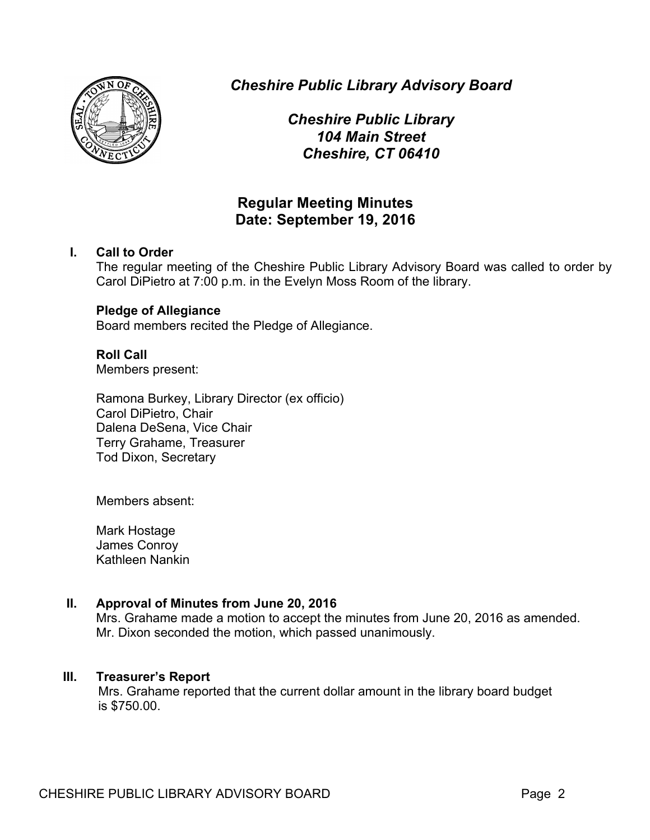

*Cheshire Public Library Advisory Board*

*Cheshire Public Library 104 Main Street Cheshire, CT 06410*

# **Regular Meeting Minutes Date: September 19, 2016**

# **I. Call to Order**

The regular meeting of the Cheshire Public Library Advisory Board was called to order by Carol DiPietro at 7:00 p.m. in the Evelyn Moss Room of the library.

# **Pledge of Allegiance**

Board members recited the Pledge of Allegiance.

# **Roll Call**

Members present:

Ramona Burkey, Library Director (ex officio) Carol DiPietro, Chair Dalena DeSena, Vice Chair Terry Grahame, Treasurer Tod Dixon, Secretary

Members absent:

Mark Hostage James Conroy Kathleen Nankin

# **II. Approval of Minutes from June 20, 2016**

Mrs. Grahame made a motion to accept the minutes from June 20, 2016 as amended. Mr. Dixon seconded the motion, which passed unanimously.

# **III. Treasurer's Report**

Mrs. Grahame reported that the current dollar amount in the library board budget is \$750.00.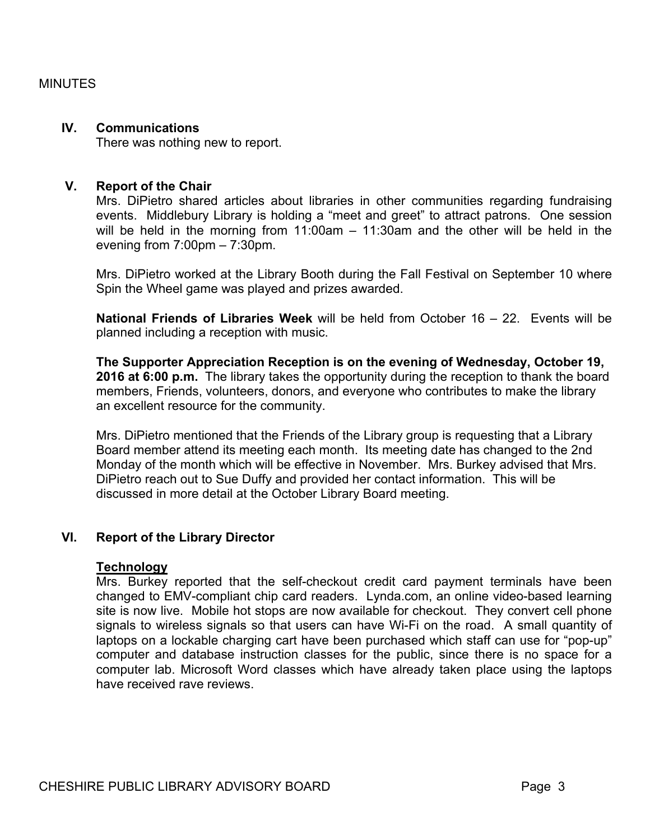#### **IV. Communications**

There was nothing new to report.

#### **V. Report of the Chair**

Mrs. DiPietro shared articles about libraries in other communities regarding fundraising events. Middlebury Library is holding a "meet and greet" to attract patrons. One session will be held in the morning from 11:00am – 11:30am and the other will be held in the evening from 7:00pm – 7:30pm.

Mrs. DiPietro worked at the Library Booth during the Fall Festival on September 10 where Spin the Wheel game was played and prizes awarded.

**National Friends of Libraries Week** will be held from October 16 – 22. Events will be planned including a reception with music.

**The Supporter Appreciation Reception is on the evening of Wednesday, October 19, 2016 at 6:00 p.m.** The library takes the opportunity during the reception to thank the board members, Friends, volunteers, donors, and everyone who contributes to make the library an excellent resource for the community.

Mrs. DiPietro mentioned that the Friends of the Library group is requesting that a Library Board member attend its meeting each month. Its meeting date has changed to the 2nd Monday of the month which will be effective in November. Mrs. Burkey advised that Mrs. DiPietro reach out to Sue Duffy and provided her contact information. This will be discussed in more detail at the October Library Board meeting.

# **VI. Report of the Library Director**

#### **Technology**

Mrs. Burkey reported that the self-checkout credit card payment terminals have been changed to EMV-compliant chip card readers. Lynda.com, an online video-based learning site is now live. Mobile hot stops are now available for checkout. They convert cell phone signals to wireless signals so that users can have Wi-Fi on the road. A small quantity of laptops on a lockable charging cart have been purchased which staff can use for "pop-up" computer and database instruction classes for the public, since there is no space for a computer lab. Microsoft Word classes which have already taken place using the laptops have received rave reviews.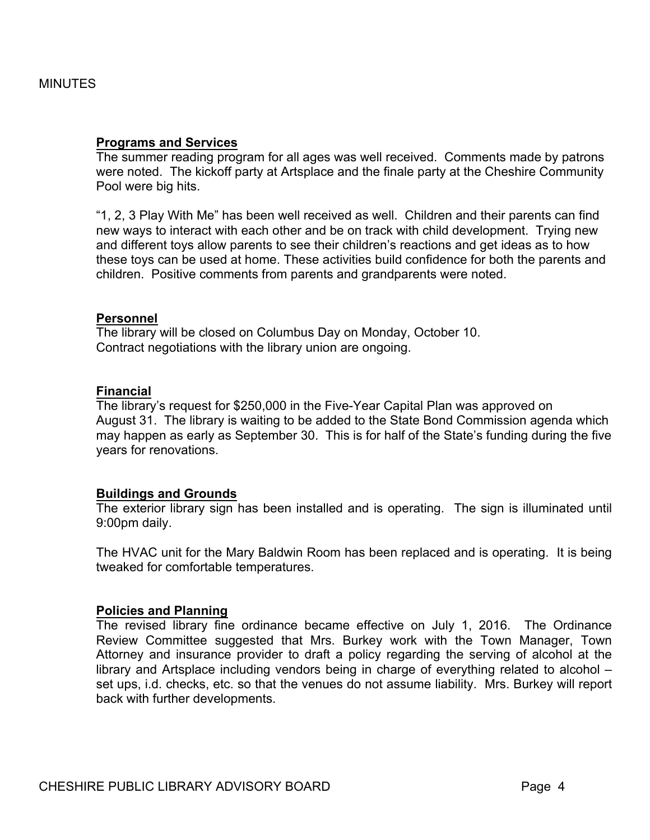#### **Programs and Services**

The summer reading program for all ages was well received. Comments made by patrons were noted. The kickoff party at Artsplace and the finale party at the Cheshire Community Pool were big hits.

"1, 2, 3 Play With Me" has been well received as well. Children and their parents can find new ways to interact with each other and be on track with child development. Trying new and different toys allow parents to see their children's reactions and get ideas as to how these toys can be used at home. These activities build confidence for both the parents and children. Positive comments from parents and grandparents were noted.

#### **Personnel**

The library will be closed on Columbus Day on Monday, October 10. Contract negotiations with the library union are ongoing.

#### **Financial**

The library's request for \$250,000 in the Five-Year Capital Plan was approved on August 31. The library is waiting to be added to the State Bond Commission agenda which may happen as early as September 30. This is for half of the State's funding during the five years for renovations.

#### **Buildings and Grounds**

The exterior library sign has been installed and is operating. The sign is illuminated until 9:00pm daily.

The HVAC unit for the Mary Baldwin Room has been replaced and is operating. It is being tweaked for comfortable temperatures.

#### **Policies and Planning**

The revised library fine ordinance became effective on July 1, 2016. The Ordinance Review Committee suggested that Mrs. Burkey work with the Town Manager, Town Attorney and insurance provider to draft a policy regarding the serving of alcohol at the library and Artsplace including vendors being in charge of everything related to alcohol – set ups, i.d. checks, etc. so that the venues do not assume liability. Mrs. Burkey will report back with further developments.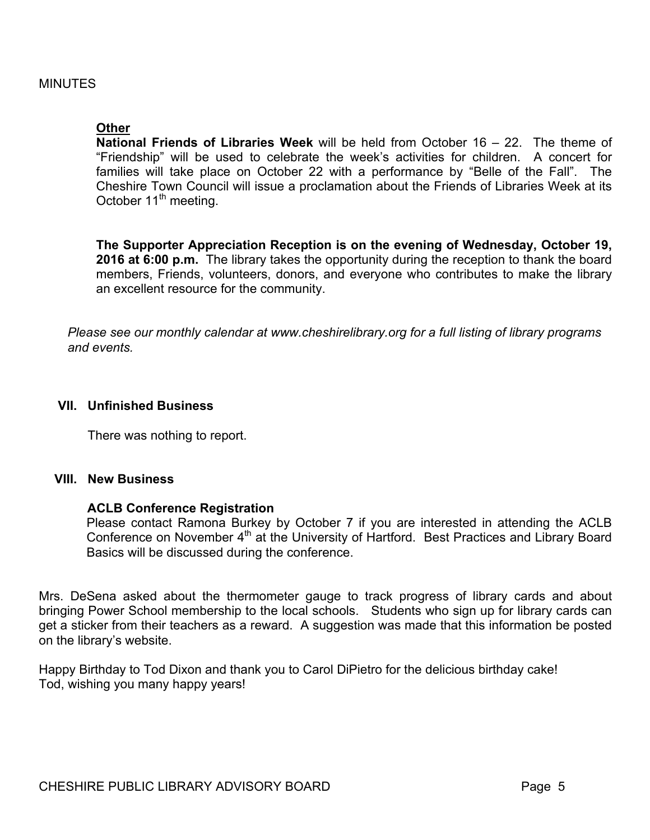#### **Other**

**National Friends of Libraries Week** will be held from October 16 – 22. The theme of "Friendship" will be used to celebrate the week's activities for children. A concert for families will take place on October 22 with a performance by "Belle of the Fall". The Cheshire Town Council will issue a proclamation about the Friends of Libraries Week at its October 11<sup>th</sup> meeting.

**The Supporter Appreciation Reception is on the evening of Wednesday, October 19, 2016 at 6:00 p.m.** The library takes the opportunity during the reception to thank the board members, Friends, volunteers, donors, and everyone who contributes to make the library an excellent resource for the community.

*Please see our monthly calendar at www.cheshirelibrary.org for a full listing of library programs and events.*

#### **VII. Unfinished Business**

There was nothing to report.

## **VIII. New Business**

#### **ACLB Conference Registration**

Please contact Ramona Burkey by October 7 if you are interested in attending the ACLB Conference on November 4<sup>th</sup> at the University of Hartford. Best Practices and Library Board Basics will be discussed during the conference.

Mrs. DeSena asked about the thermometer gauge to track progress of library cards and about bringing Power School membership to the local schools. Students who sign up for library cards can get a sticker from their teachers as a reward. A suggestion was made that this information be posted on the library's website.

Happy Birthday to Tod Dixon and thank you to Carol DiPietro for the delicious birthday cake! Tod, wishing you many happy years!